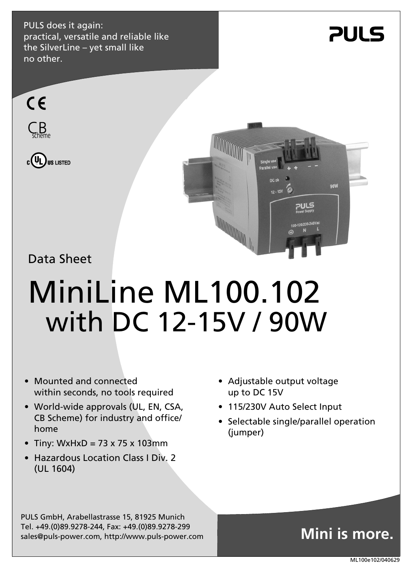PULS does it again: practical, versatile and reliable like the SilverLine – yet small like no other.



90W





## Data Sheet

# MiniLine ML100.102 with DC 12-15V / 90W

- Mounted and connected within seconds, no tools required
- World-wide approvals (UL, EN, CSA, CB Scheme) for industry and office/ home
- Tiny: WxHxD =  $73 \times 75 \times 103$ mm
- Hazardous Location Class I Div. 2 (UL 1604)
- Adjustable output voltage up to DC 15V
- 115/230V Auto Select Input
- Selectable single/parallel operation (jumper)

PULS GmbH, Arabellastrasse 15, 81925 Munich Tel. +49.(0)89.9278-244, Fax: +49.(0)89.9278-299 sales@puls-power.com, http://www.puls-power.com

# **Mini is more.**